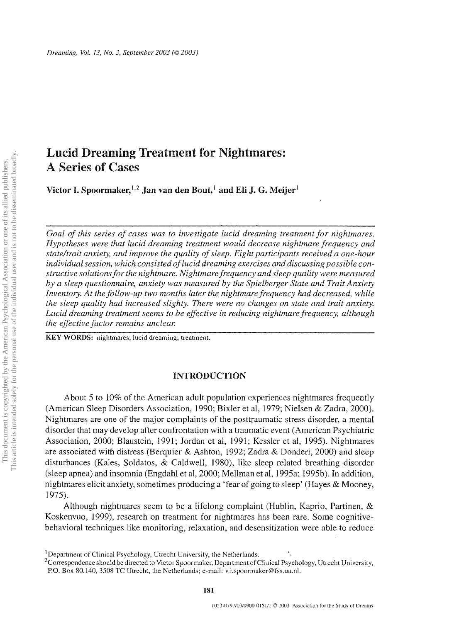# Lucid Dreaming Treatment for Nightmares: A Series of Cases

Victor I. Spoormaker,<sup>1,2</sup> Jan van den Bout,<sup>1</sup> and Eli J. G. Meijer<sup>1</sup>

*Goal of this series of cases was to investigate lucid dreaming treatment for nightmares. Hypotheses were that lucid dreaming treatment would decrease nightmare frequency and state/trait anxiety, and improve the quality of sleep. Eight participants received a one-hour individual session, which consisted of lucid dreaming exercises and discussing possible constructive solutions for the nightmare. Nightmarefrequency and sleep quality were measured by a sleep questionnaire, anxiety was measured by the Spielberger State and Trait Anxiety*  Inventory. At the follow-up two months later the nightmare frequency had decreased, while *the sleep quality had increased slighty. There were no changes on state and trait anxiety. Lucid dreaming treatment seems to be effective in reducing nightmare frequency, although the effective factor remains unclear.* 

KEY WORDS: nightmares; lucid dreaming; treatment.

# INTRODUCTION

About 5 to 10% of the American adult population experiences nightmares frequently (American Sleep Disorders Association, 1990; Bixler et aI, 1979; Nielsen & Zadra, 2000). Nightmares are one of the major complaints of the posttraumatic stress disorder, a mental disorder that may develop after confrontation with a traumatic event (American Psychiatric Association, 2000; Blaustein, 1991; Jordan et aI, 1991; Kessler et aI, 1995). Nightmares are associated with distress (Berquier & Ashton, 1992; Zadra & Donderi, 2000) and sleep disturbances (Kales, Soldatos, & Caldwell, 1980), like sleep related breathing disorder (sleep apnea) and insomnia (Engdahl et aI, 2000; Mellman et aI, 1995a; 1995b). In addition, nightmares elicit anxiety, sometimes producing a 'fear of going to sleep' (Hayes & Mooney, 1975).

Although nightmares seem to be a lifelong complaint (Hublin, Kaprio, Partinen, & Koskenvuo, 1999), research on treatment for nightmares has been rare. Some cognitivebehavioral techniques like monitoring, relaxation, and desensitization were able to reduce

<sup>2</sup>Correspondence should be directed to Victor Spoormaker, Department of Clinical Psychology, Utrecht University, P.O. Box 80.140, 3508 TC Utrecht, the Netherlands; e-mail: v.i.spoormaker@fss.uu.nl.

<sup>&</sup>lt;sup>1</sup> Department of Clinical Psychology, Utrecht University, the Netherlands.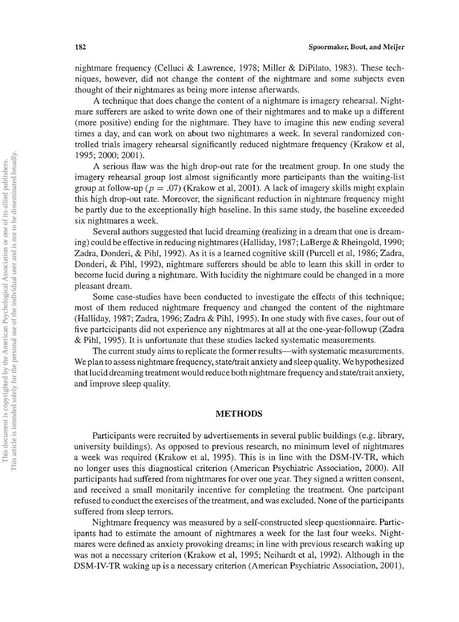nightmare frequency (Celluci & Lawrence, 1978; Miller & DiPilato, 1983). These techniques, however, did not change the content of the nightmare and some subjects even thought of their nightmares as being more intense afterwards.

A technique that does change the content of a nightmare is imagery rehearsal. Nightmare sufferers are asked to write down one of their nightmares and to make up a different (more positive) ending for the nightmare. They have to imagine this new ending several times a day, and can work on about two nightmares a week. In several randomized controlled trials imagery rehearsal significantly reduced nightmare frequency (Krakow et aI, 1995; 2000; 2001).

A serious flaw was the high drop-out rate for the treatment group. In one study the imagery rehearsal group lost almost significantly more participants than the waiting-list group at follow-up ( $p = .07$ ) (Krakow et al, 2001). A lack of imagery skills might explain this high drop-out rate. Moreover, the significant reduction in nightmare frequency might be partly due to the exceptionally high baseline. In this same study, the baseline exceeded six nightmares a week.

Several authors suggested that lucid dreaming (realizing in a dream that one is dreaming) could be effective in reducing nightmares (Halliday, 1987; LaBerge & Rheingold, 1990; Zadra, Donderi, & Pihl, 1992). As it is a learned cognitive skill (Purcell et aI, 1986; Zadra, Donderi, & Pihl, 1992), nightmare sufferers should be able to learn this skill in order to become lucid during a nightmare. With lucidity the nightmare could be changed in a more pleasant dream.

Some case-studies have been conducted to investigate the effects of this technique; most of them reduced nightmare frequency and changed the content of the nightmare (Halliday, 1987; Zadra, 1996; Zadra & Pihl, 1995). In one study with five cases, four out of five partcicipants did not experience any nightmares at all at the one-year-followup (Zadra & Pihl, 1995). It is unfortunate that these studies lacked systematic measurements.

The current study aims to replicate the former results—with systematic measurements. We plan to assess nightmare frequency, state/trait anxiety and sleep quality. We hypothesized that lucid dreaming treatment would reduce both nightmare frequency and state/trait anxiety, and improve sleep quality.

### **METHODS**

Participants were recruited by advertisements in several public buildings (e.g. library, university buildings). As opposed to previous research, no minimum level of nightmares a week was required (Krakow et aI, 1995). This is in line with the DSM-IV-TR, which no longer uses this diagnostical criterion (American Psychiatric Association, 2000). All participants had suffered from nightmares for over one year. They signed a written consent, and received a small monitarily incentive for completing the treatment. One partcipant refused to conduct the exercises of the treatment, and was excluded. None of the participants suffered from sleep terrors.

Nightmare frequency was measured by a self-constructed sleep questionnaire. Participants had to estimate the amount of nightmares a week for the last four weeks. Nightmares were defined as anxiety provoking dreams; in line with previous research waking up was not a necessary criterion (Krakow et aI, 1995; Neihardt et aI, 1992). Although in the DSM-IV-TR waking up is a necessary criterion (American Psychiatric Association, 2001),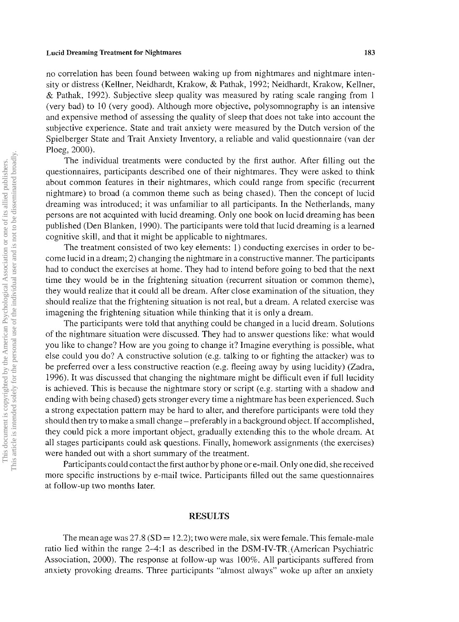#### Lucid Dreaming Treatment for Nightmares 183

no correlation has been found between waking up from nightmares and nightmare intensity or distress (Kellner, Neidhardt, Krakow, & Pathak, 1992; Neidhardt, Krakow, Kellner, & Pathak, 1992). Subjective sleep quality was measured by rating scale ranging from I (very bad) to 10 (very good). Although more objective, polysomnography is an intensive and expensive method of assessing the quality of sleep that does not take into account the subjective experience. State and trait anxiety were measured by the Dutch version of the Spielberger State and Trait Anxiety Inventory, a reliable and valid questionnaire (van der Ploeg, 2000).

The individual treatments were conducted by the first author. After filling out the questionnaires, participants described one of their nightmares. They were asked to think about common features in their nightmares, which could range from specific (recurrent nightmare) to broad (a common theme such as being chased). Then the concept of lucid dreaming was introduced; it was unfamiliar to all participants. In the Netherlands, many persons are not acquinted with lucid dreaming. Only one book on lucid dreaming has been published (Den Blanken, 1990). The participants were told that lucid dreaming is a learned cognitive skill, and that it might be applicable to nightmares.

The treatment consisted of two key elements: 1) conducting exercises in order to become lucid in a dream; 2) changing the nightmare in a constructive manner. The participants had to conduct the exercises at home. They had to intend before going to bed that the next time they would be in the frightening situation (recurrent situation or common theme), they would realize that it could all be dream. After close examination of the situation, they should realize that the frightening situation is not real, but a dream. A related exercise was imagening the frightening situation while thinking that it is only a dream.

The participants were told that anything could be changed in a lucid dream. Solutions of the nightmare situation were discussed. They had to answer questions like: what would you like to change? How are you going to change it? Imagine everything is possible, what else could you do? A constructive solution (e.g. talking to or fighting the attacker) was to be preferred over a less constructive reaction (e.g. fleeing away by using lucidity) (Zadra, 1996). It was discussed that changing the nightmare might be difficult even if full lucidity is achieved. This is because the nightmare story or script (e.g. starting with a shadow and ending with being chased) gets stronger every time a nightmare has been experienced. Such a strong expectation pattern may be hard to alter, and therefore participants were told they should then try to make a small change – preferably in a background object. If accomplished, they could pick a more important object, gradually extending this to the whole dream. At all stages participants could ask questions. Finally, homework assignments (the exercises) were handed out with a short summary of the treatment.

Participants could contact the first author by phone ore-mail. Only one did, she received more specific instructions bye-mail twice. Participants filled out the same questionnaires at follow-up two months later.

# RESULTS

The mean age was  $27.8$  (SD = 12.2); two were male, six were female. This female-male ratio lied within the range 2-4:1 as described in the DSM-IV-TR,(American Psychiatric Association, 2000). The response at follow-up was 100%. All participants suffered from anxiety provoking dreams. Three participants "almost always" woke up after an anxiety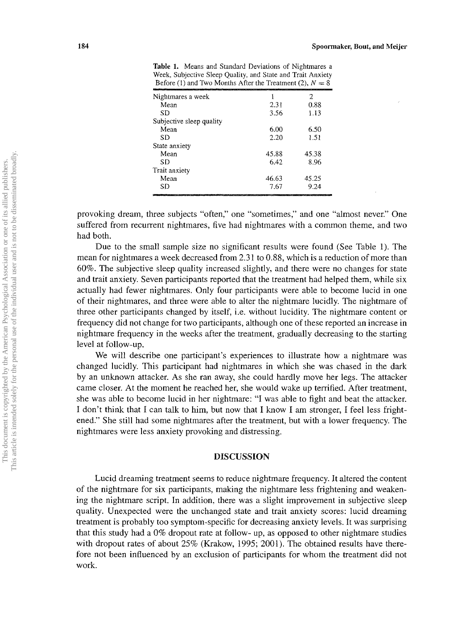| Nightmares a week                                |       | 2                                      |
|--------------------------------------------------|-------|----------------------------------------|
| Mean                                             | 2.31  | 0.88                                   |
| SD                                               | 3.56  | 1.13                                   |
| Subjective sleep quality                         |       |                                        |
| Mean                                             | 6.00  | 6.50                                   |
| SÐ                                               | 2.20  | 1.51                                   |
| State anxiety                                    |       |                                        |
| Mean                                             | 45.88 | 45.38                                  |
| SD                                               | 6.42  | 8.96                                   |
| Trait anxiety                                    |       |                                        |
| Mean                                             | 46.63 | 45.25                                  |
| SD                                               | 7.67  | 9.24                                   |
| <b>The Company of the Company of the Company</b> |       | Committee State Control of the Commit- |

Table 1. Means and Standard Deviations of Nightmares a Week, Subjective Sleep Quality, and State and Trait Anxiety Before (1) and Two Months After the Treatment (2),  $N = 8$ 

provoking dream, three subjects "often," one "sometimes," and one "almost never." One suffered from recurrent nightmares, five had nightmares with a common theme, and two had both.

Due to the small sample size no significant results were found (See Table 1). The mean for nightmares a week decreased from 2.31 to 0.88, which is a reduction of more than 60%. The subjective sleep quality increased slightly, and there were no changes for state and trait anxiety. Seven participants reported that the treatment had helped them, while six actually had fewer nightmares. Only four participants were able to become lucid in one of their nightmares, and three were able to alter the nightmare lucidly. The nightmare of three other participants changed by itself, i.e. without lucidity. The nightmare content or frequency did not change for two participants, although one of these reported an increase in nightmare frequency in the weeks after the treatment, gradually decreasing to the starting level at follow-up.

We will describe one participant's experiences to illustrate how a nightmare was changed lucidly. This participant had nightmares in which she was chased in the dark by an unknown attacker. As she ran away, she could hardly move her legs. The attacker came closer. At the moment he reached her, she would wake up terrified. After treatment, she was able to become lucid in her nightmare: "I was able to fight and beat the attacker. I don't think that I can talk to him, but now that I know I am stronger, I feel less frightened." She still had some nightmares after the treatment, but with a lower frequency. The nightmares were less anxiety provoking and distressing.

## DISCUSSION

Lucid dreaming treatment seems to reduce nightmare frequency. It altered the content of the nightmare for six participants, making the nightmare less frightening and weakening the nightmare script. In addition, there was a slight improvement in subjective sleep quality. Unexpected were the unchanged state and trait anxiety scores: lucid dreaming treatment is probably too symptom-specific for decreasing anxiety levels. It was surprising that this study had a 0% dropout rate at follow- up, as opposed to other nightmare studies with dropout rates of about 25% (Krakow, 1995; 2001). The obtained results have therefore not been influenced by an exclusion of participants for whom the treatment did not work.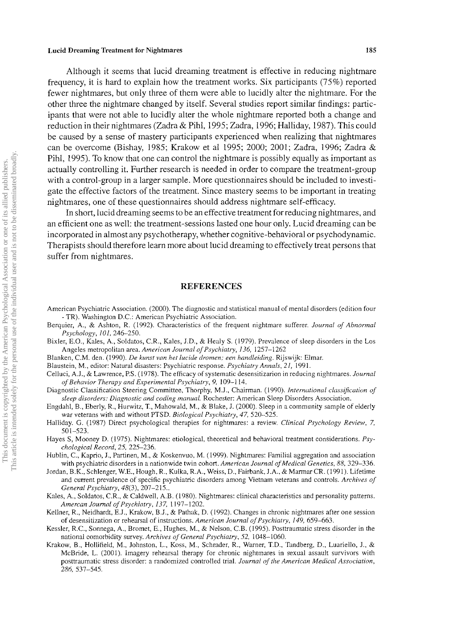#### Lucid Dreaming Treatment for Nightmares 185

Although it seems that lucid dreaming treatment is effective in reducing nightmare frequency, it is hard to explain how the treatment works. Six participants (75%) reported fewer nightmares, but only three of them were able to lucidly alter the nightmare. For the other three the nightmare changed by itself. Several studies report similar findings: participants that were not able to lucidly alter the whole nightmare reported both a change and reduction in their nightmares (Zadra & Pihl, 1995; Zadra, 1996; Halliday, 1987). This could be caused by a sense of mastery participants experienced when realizing that nightmares can be overcome (Bishay, 1985; Krakow et a1 1995; 2000; 2001; Zadra, 1996; Zadra & Pihl, 1995). To know that one can control the nightmare is possibly equally as important as actually controlling it. Further research is needed in order to compare the treatment-group with a control-group in a larger sample. More questionnaires should be included to investigate the effective factors of the treatment. Since mastery seems to be important in treating nightmares, one of these questionnaires should address nightmare self-efficacy.

In short, lucid dreaming seems to be an effective treatment for reducing nightmares, and an efficient one as well: the treatment-sessions lasted one hour only. Lucid dreaming can be incorporated in almost any psychotherapy, whether cognitive-behavioral or psychodynamic. Therapists should therefore learn more about lucid dreaming to effectively treat persons that suffer from nightmares.

# REFERENCES

- American Psychiatric Association. (2000). The diagnostic and statistical manual of mental disorders (edition four - TR). Washington D.C.: American Psychiatric Association.
- Berquier, A., & Ashton, R. (1992). Characteristics of the frequent nightmare sufferer. *Journal of Abnormal Psychology, 101, 246-250.*
- Bixler, E.O., Kales, A., Soldatos, c.R., Kales, J.D., & Healy S. (1979). Prevalence of sleep disorders in the Los Angeles metropolitan area. *American Journal of Psychiatry,* 136, 1257-1262
- Blanken, C.M. den. (1990). *De kunst van het lucide dromen; een handleiding.* Rijswijk: Elmar.
- Blaustein, M., editor: Natural disasters: Psychiatric response. *Psychiatry Annals,* 21, 1991.
- Celluci, AJ., & Lawrence, P.S. (1978). The efficacy of systematic desensitizarion in reducing nightmares. *Journal of Behavior Therapy and Experimental Psychiatry,* 9, 109-114.
- Diagnostic Classification Steering Committee, Thorphy, MJ., Chairman. (1990). *International classification of sleep disorders: Diagnostic and coding manual.* Rochester: American Sleep Disorders Association.
- Engdahl, B., Eberly, R., Hurwitz, T., Mahowald, M., & Blake, J. (2000). Sleep in a community sample of elderly war veterans with and without PTSD. *Biological Psychiatry,* 47, 520-525.
- Halliday. G. (1987) Direct psychological therapies for nightmares: a review. *Clinical Psychology Review, 7,*  501-523.
- Hayes S, Mooney D. (1975). Nightmares: etiological, theoretical and behavioral treatment considerations. *Psychological Record,* 25, 225-236.
- Hublin, C., Kaprio, J., Partinen, M., & Koskenvuo, M. (1999). Nightmares: Familial aggregation and association with psychiatric disorders in a nationwide twin cohort. *American Journal of Medical Genetics,* 88, 329-336.
- Jordan, B.K., Schlenger, W.E., Hough, R., Kulka, R.A., Weiss, D., Fairbank, J.A., & Marmar CR. (1991). Lifetime and current prevalence of specific psychiatric disorders among Vietnam veterans and controls. *Archives of General Psychiatry,* 48(3), 207-215 ..
- Kales, A., Soldatos, c.R., & Caldwell, A.B. (1980). Nightmares: clinical characteristics and personality patterns. *Amercan Journal of Psychiatry,* 137, 1197-1202.
- Kellner, R., Neidhardt, EJ., Krakow, BJ., & Pathak, D. (1992). Changes in chronic nightmares after one session of desensitization or rehearsal of instructions. *American Journal of Psychiatry,* 149, 659-663.
- Kessler, R.C., Sonnega, A., Bromet, E., Hughes, M., & Nelson, C.B. (1995). Posttraumatic stress disorder in the national co morbidity survey. *Archives of General Psychiatry,* 52, 1048-1060.
- Krakow, B., Hollifield, M., Johnston, L., Koss, M., Schrader, R., Warner, T.D., Tandberg, D., Luariello, J., & McBride, L. (2001). Imagery rehearsal therapy for chronic nightmares in sexual assault survivors with posttraumatic stress disorder: a randomized controlled trial. *Journal of the American Medical Association,*  286, 537-545.